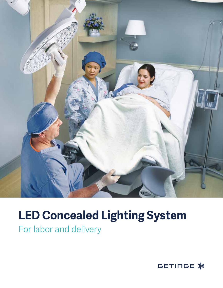

# **LED Concealed Lighting System**

For labor and delivery

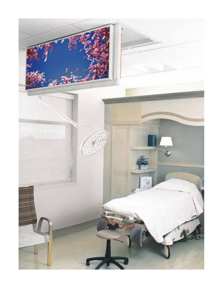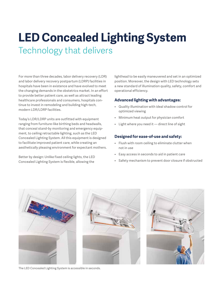### **LED Concealed Lighting System** Technology that delivers

For more than three decades, labor delivery recovery (LDR) and labor delivery recovery postpartum (LDRP) facilities in hospitals have been in existence and have evolved to meet the changing demands in the obstetrics market. In an effort to provide better patient care, as well as attract leading healthcare professionals and consumers, hospitals continue to invest in remodeling and building high-tech, modern LDR/LDRP facilities.

Today's LDR/LDRP units are outfitted with equipment ranging from furniture-like birthing beds and headwalls, that conceal stand-by monitoring and emergency equipment, to ceiling retractable lighting, such as the LED Concealed Lighting System. All this equipment is designed to facilitate improved patient care, while creating an aesthetically pleasing environment for expectant mothers.

Better by design: Unlike fixed ceiling lights, the LED Concealed Lighting System is flexible, allowing the

lighthead to be easily maneuvered and set in an optimized position. Moreover, the design with LED technology sets a new standard of illumination quality, safety, comfort and operational efficiency.

#### **Advanced lighting with advantages:**

- Quality illumination with ideal shadow control for optimized viewing
- Minimum heat output for physician comfort
- Light where you need it direct line of sight

#### **Designed for ease-of-use and safety:**

- Flush with room ceiling to eliminate clutter when not in use
- Easy access in seconds to aid in patient care
- Safety mechanism to prevent door closure if obstructed



The LED Concealed Lighting System is accessible in seconds.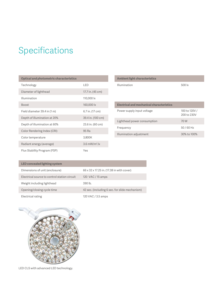### Specifications

| Optical and photometric characteristics |                             |
|-----------------------------------------|-----------------------------|
| Technology                              | LED                         |
| Diameter of lighthead                   | 17.7 in. (45 cm)            |
| Illumination                            | 110,000 lx                  |
| <b>Boost</b>                            | 160,000 lx                  |
| Field diameter 39.4 in (1 m)            | 6.7 in. (17 cm)             |
| Depth of illumination at 20%            | 39.4 in. (100 cm)           |
| Depth of illumination at 60%            | 23.6 in. (60 cm)            |
| Color Rendering Index (CRI)             | 95 Ra                       |
| Color temperature                       | 3,800K                      |
| Radiant energy (average)                | $3.6$ mW/m <sup>2</sup> .lx |
| Flux Stability Program (FSP)            | Yes                         |

| <b>Ambient light characteristics</b>      |                              |
|-------------------------------------------|------------------------------|
| Illumination                              | 500 lx                       |
|                                           |                              |
|                                           |                              |
| Electrical and mechanical characteristics |                              |
| Power supply input voltage                | 100 to 120V /<br>200 to 230V |
| Lighthead power consumption               | 70 W                         |
| Frequency                                 | 50 / 60 Hz                   |
| Illumination adjustment                   | 30% to 100%                  |

| <b>LED concealed lighting system</b>         |                                                |
|----------------------------------------------|------------------------------------------------|
| Dimensions of unit (enclosure)               | 66 x 32 x 17.25 in. (17.38 in with cover)      |
| Electrical source to control station circuit | 120 VAC / 15 amps                              |
| Weight including lighthead                   | 390 lb.                                        |
| Opening/closing cycle time                   | 42 sec. (including 6 sec. for slide mechanism) |
| Electrical rating                            | 120 VAC / 3.5 amps                             |



LED CLS with advanced LED technology.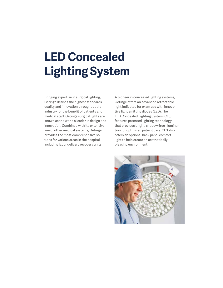## **LED Concealed Lighting System**

Bringing expertise in surgical lighting, Getinge defines the highest standards, quality and innovation throughout the industry for the benefit of patients and medical staff. Getinge surgical lights are known as the world's leader in design and innovation. Combined with its extensive line of other medical systems, Getinge provides the most comprehensive solutions for various areas in the hospital, including labor delivery recovery units.

A pioneer in concealed lighting systems, Getinge offers an advanced retractable light indicated for exam use with innovative light emitting diodes (LED). The LED Concealed Lighting System (CLS) features patented lighting technology that provides bright, shadow-free illumination for optimized patient care. CLS also offers an optional back panel comfort light to help create an aesthetically pleasing environment.